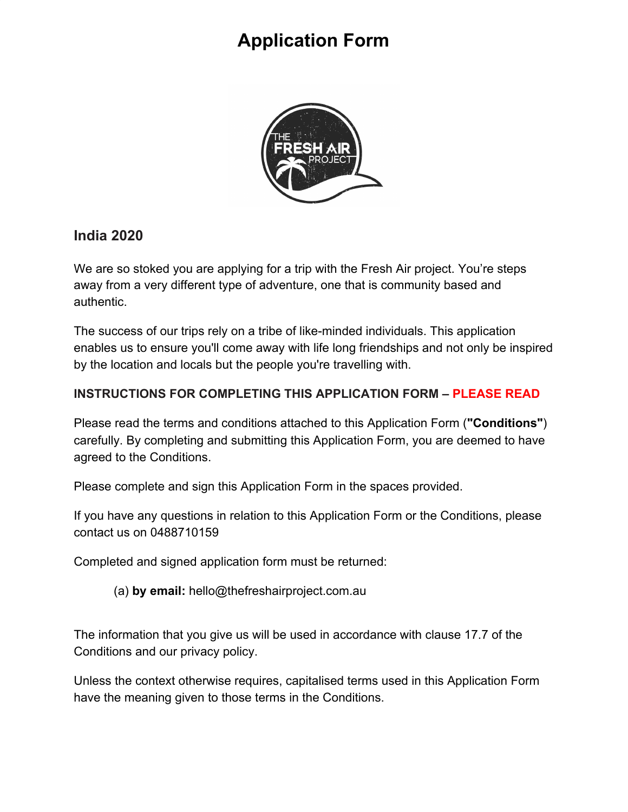

#### **India 2020**

We are so stoked you are applying for a trip with the Fresh Air project. You're steps away from a very different type of adventure, one that is community based and authentic.

The success of our trips rely on a tribe of like-minded individuals. This application enables us to ensure you'll come away with life long friendships and not only be inspired by the location and locals but the people you're travelling with.

#### **INSTRUCTIONS FOR COMPLETING THIS APPLICATION FORM – PLEASE READ**

Please read the terms and conditions attached to this Application Form (**"Conditions"**) carefully. By completing and submitting this Application Form, you are deemed to have agreed to the Conditions.

Please complete and sign this Application Form in the spaces provided.

If you have any questions in relation to this Application Form or the Conditions, please contact us on 0488710159

Completed and signed application form must be returned:

(a) **by email:** hello@thefreshairproject.com.au

The information that you give us will be used in accordance with clause 17.7 of the Conditions and our privacy policy.

Unless the context otherwise requires, capitalised terms used in this Application Form have the meaning given to those terms in the Conditions.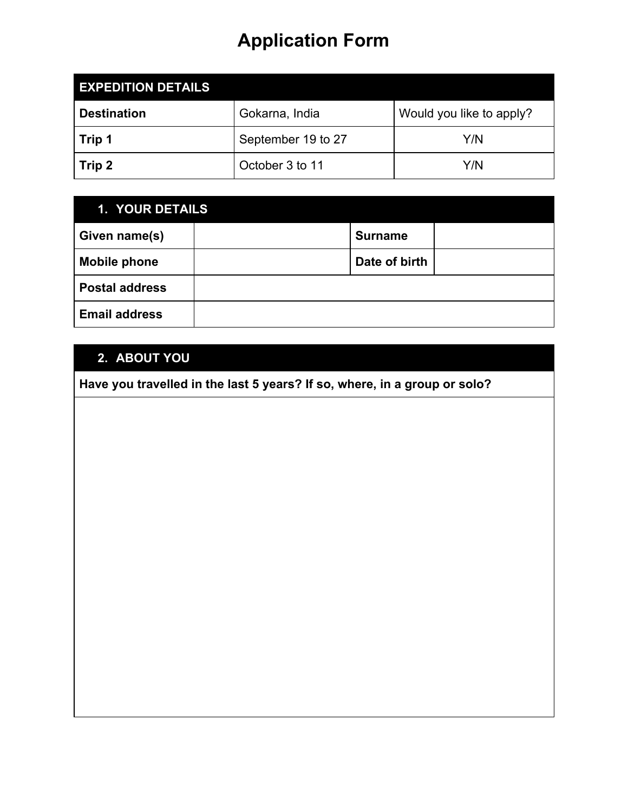| <b>EXPEDITION DETAILS</b> |                    |                          |
|---------------------------|--------------------|--------------------------|
| <b>Destination</b>        | Gokarna, India     | Would you like to apply? |
| Trip 1                    | September 19 to 27 | Y/N                      |
| Trip 2                    | October 3 to 11    | Y/N                      |

| 1. YOUR DETAILS       |                |  |
|-----------------------|----------------|--|
| Given name(s)         | <b>Surname</b> |  |
| <b>Mobile phone</b>   | Date of birth  |  |
| <b>Postal address</b> |                |  |
| <b>Email address</b>  |                |  |

### **2. ABOUT YOU**

**Have you travelled in the last 5 years? If so, where, in a group or solo?**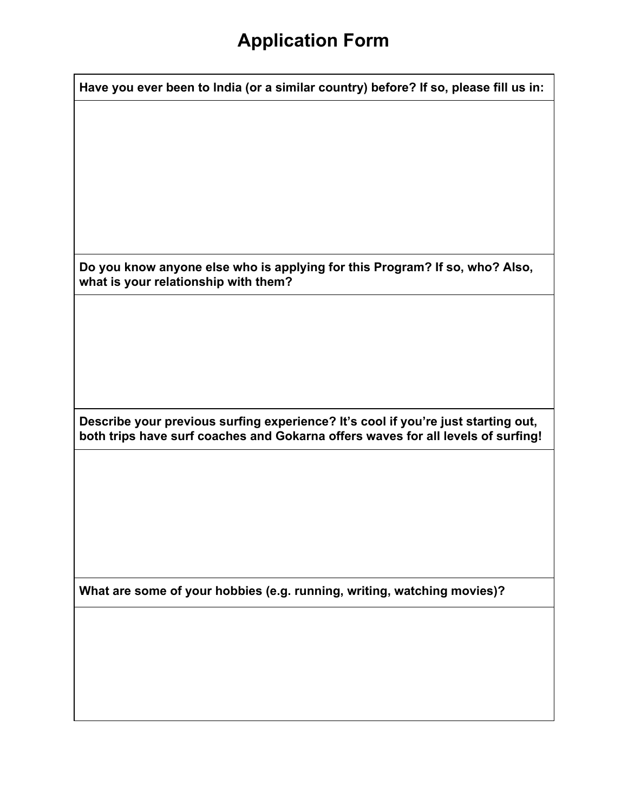| Have you ever been to India (or a similar country) before? If so, please fill us in:                                                                                  |
|-----------------------------------------------------------------------------------------------------------------------------------------------------------------------|
|                                                                                                                                                                       |
|                                                                                                                                                                       |
|                                                                                                                                                                       |
|                                                                                                                                                                       |
|                                                                                                                                                                       |
|                                                                                                                                                                       |
|                                                                                                                                                                       |
|                                                                                                                                                                       |
|                                                                                                                                                                       |
| Do you know anyone else who is applying for this Program? If so, who? Also,<br>what is your relationship with them?                                                   |
|                                                                                                                                                                       |
|                                                                                                                                                                       |
|                                                                                                                                                                       |
|                                                                                                                                                                       |
|                                                                                                                                                                       |
|                                                                                                                                                                       |
|                                                                                                                                                                       |
| Describe your previous surfing experience? It's cool if you're just starting out,<br>both trips have surf coaches and Gokarna offers waves for all levels of surfing! |
|                                                                                                                                                                       |
|                                                                                                                                                                       |
|                                                                                                                                                                       |
|                                                                                                                                                                       |
|                                                                                                                                                                       |
|                                                                                                                                                                       |
|                                                                                                                                                                       |
| What are some of your hobbies (e.g. running, writing, watching movies)?                                                                                               |
|                                                                                                                                                                       |
|                                                                                                                                                                       |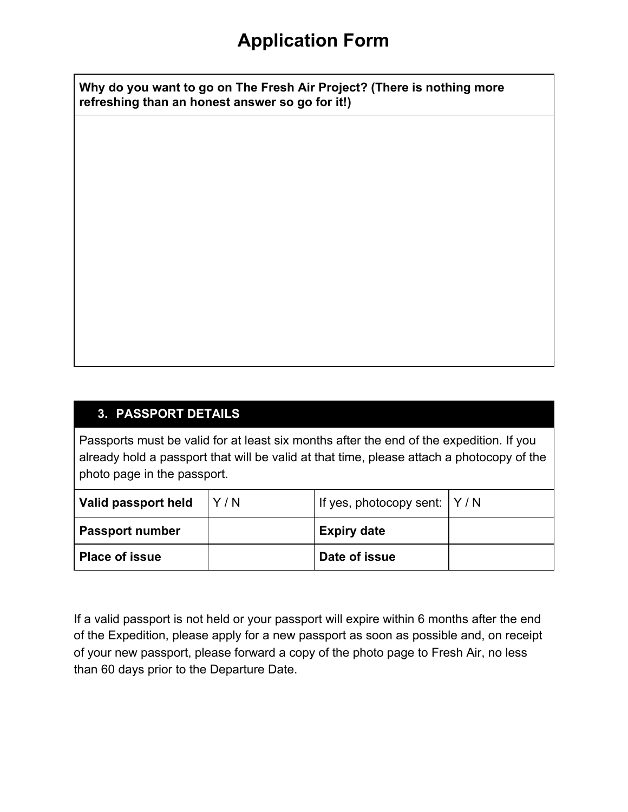**Why do you want to go on The Fresh Air Project? (There is nothing more refreshing than an honest answer so go for it!)**

#### **3. PASSPORT DETAILS**

Passports must be valid for at least six months after the end of the expedition. If you already hold a passport that will be valid at that time, please attach a photocopy of the photo page in the passport.

| Valid passport held    | Y/N | If yes, photocopy sent: $ Y/N $ |  |
|------------------------|-----|---------------------------------|--|
| <b>Passport number</b> |     | <b>Expiry date</b>              |  |
| <b>Place of issue</b>  |     | Date of issue                   |  |

If a valid passport is not held or your passport will expire within 6 months after the end of the Expedition, please apply for a new passport as soon as possible and, on receipt of your new passport, please forward a copy of the photo page to Fresh Air, no less than 60 days prior to the Departure Date.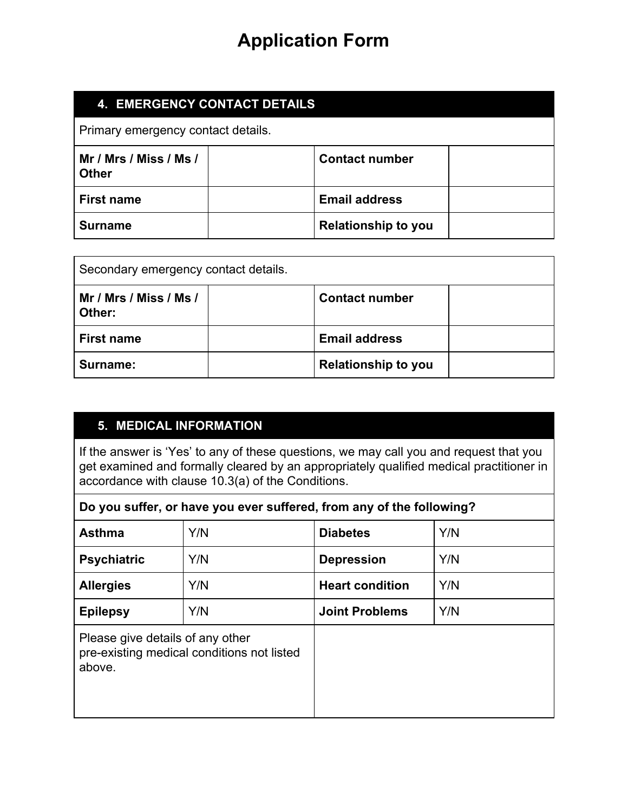| 4. EMERGENCY CONTACT DETAILS           |  |                            |  |
|----------------------------------------|--|----------------------------|--|
| Primary emergency contact details.     |  |                            |  |
| Mr / Mrs / Miss / Ms /<br><b>Other</b> |  | <b>Contact number</b>      |  |
| <b>First name</b>                      |  | <b>Email address</b>       |  |
| <b>Surname</b>                         |  | <b>Relationship to you</b> |  |

| Secondary emergency contact details. |                            |  |
|--------------------------------------|----------------------------|--|
| Mr / Mrs / Miss / Ms /<br>Other:     | <b>Contact number</b>      |  |
| <b>First name</b>                    | <b>Email address</b>       |  |
| Surname:                             | <b>Relationship to you</b> |  |

#### **5. MEDICAL INFORMATION**

If the answer is 'Yes' to any of these questions, we may call you and request that you get examined and formally cleared by an appropriately qualified medical practitioner in accordance with clause 10.3(a) of the Conditions.

| Do you suffer, or have you ever suffered, from any of the following? |
|----------------------------------------------------------------------|
|----------------------------------------------------------------------|

| <b>Asthma</b>                              | Y/N                                        | <b>Diabetes</b>        | Y/N |
|--------------------------------------------|--------------------------------------------|------------------------|-----|
| <b>Psychiatric</b>                         | Y/N                                        | <b>Depression</b>      | Y/N |
| <b>Allergies</b>                           | Y/N                                        | <b>Heart condition</b> | Y/N |
| <b>Epilepsy</b>                            | Y/N                                        | <b>Joint Problems</b>  | Y/N |
| Please give details of any other<br>above. | pre-existing medical conditions not listed |                        |     |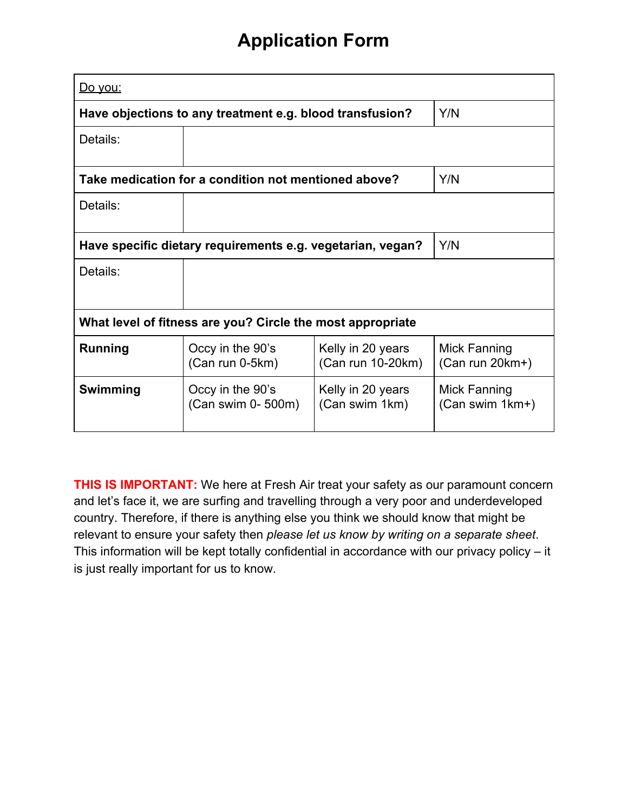| <u>Do you:</u>                                                    |                                                          |                                        |                                   |
|-------------------------------------------------------------------|----------------------------------------------------------|----------------------------------------|-----------------------------------|
|                                                                   | Have objections to any treatment e.g. blood transfusion? |                                        | Y/N                               |
| Details:                                                          |                                                          |                                        |                                   |
|                                                                   | Take medication for a condition not mentioned above?     |                                        | Y/N                               |
| Details:                                                          |                                                          |                                        |                                   |
| Have specific dietary requirements e.g. vegetarian, vegan?<br>Y/N |                                                          |                                        |                                   |
| Details:                                                          |                                                          |                                        |                                   |
| What level of fitness are you? Circle the most appropriate        |                                                          |                                        |                                   |
| <b>Running</b>                                                    | Occy in the 90's<br>(Can run 0-5km)                      | Kelly in 20 years<br>(Can run 10-20km) | Mick Fanning<br>$(Can run 20km+)$ |
| Swimming                                                          | Occy in the 90's<br>(Can swim 0- 500m)                   | Kelly in 20 years<br>(Can swim 1km)    | Mick Fanning<br>(Can swim 1km+)   |

**THIS IS IMPORTANT:** We here at Fresh Air treat your safety as our paramount concern and let's face it, we are surfing and travelling through a very poor and underdeveloped country. Therefore, if there is anything else you think we should know that might be relevant to ensure your safety then *please let us know by writing on a separate sheet*. This information will be kept totally confidential in accordance with our privacy policy – it is just really important for us to know.